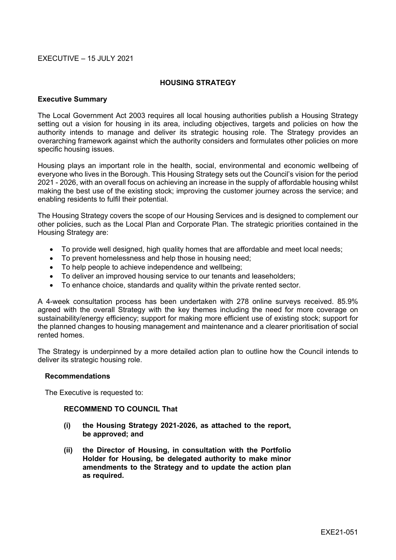## EXECUTIVE – 15 JULY 2021

### **HOUSING STRATEGY**

### **Executive Summary**

The Local Government Act 2003 requires all local housing authorities publish a Housing Strategy setting out a vision for housing in its area, including objectives, targets and policies on how the authority intends to manage and deliver its strategic housing role. The Strategy provides an overarching framework against which the authority considers and formulates other policies on more specific housing issues.

Housing plays an important role in the health, social, environmental and economic wellbeing of everyone who lives in the Borough. This Housing Strategy sets out the Council's vision for the period 2021 - 2026, with an overall focus on achieving an increase in the supply of affordable housing whilst making the best use of the existing stock; improving the customer journey across the service; and enabling residents to fulfil their potential.

The Housing Strategy covers the scope of our Housing Services and is designed to complement our other policies, such as the Local Plan and Corporate Plan. The strategic priorities contained in the Housing Strategy are:

- To provide well designed, high quality homes that are affordable and meet local needs;
- To prevent homelessness and help those in housing need;
- To help people to achieve independence and wellbeing;
- To deliver an improved housing service to our tenants and leaseholders;
- To enhance choice, standards and quality within the private rented sector.

A 4-week consultation process has been undertaken with 278 online surveys received. 85.9% agreed with the overall Strategy with the key themes including the need for more coverage on sustainability/energy efficiency; support for making more efficient use of existing stock; support for the planned changes to housing management and maintenance and a clearer prioritisation of social rented homes.

The Strategy is underpinned by a more detailed action plan to outline how the Council intends to deliver its strategic housing role.

### **Recommendations**

The Executive is requested to:

### **RECOMMEND TO COUNCIL That**

- **(i) the Housing Strategy 2021-2026, as attached to the report, be approved; and**
- **(ii) the Director of Housing, in consultation with the Portfolio Holder for Housing, be delegated authority to make minor amendments to the Strategy and to update the action plan as required.**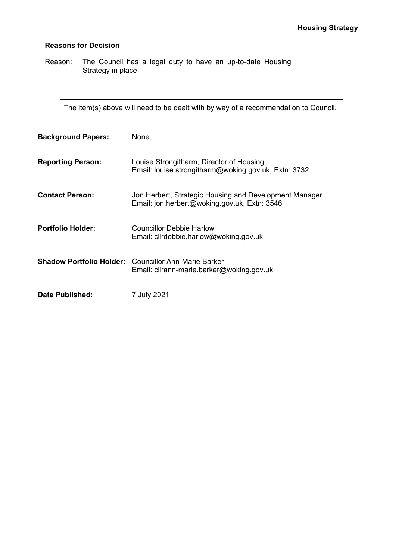# **Reasons for Decision**

Reason: The Council has a legal duty to have an up-to-date Housing Strategy in place.

The item(s) above will need to be dealt with by way of a recommendation to Council.

| <b>Background Papers:</b> | None.                                                                                                    |
|---------------------------|----------------------------------------------------------------------------------------------------------|
| <b>Reporting Person:</b>  | Louise Strongitharm, Director of Housing<br>Email: louise.strongitharm@woking.gov.uk, Extn: 3732         |
| <b>Contact Person:</b>    | Jon Herbert, Strategic Housing and Development Manager<br>Email: jon.herbert@woking.gov.uk, Extn: 3546   |
| <b>Portfolio Holder:</b>  | Councillor Debbie Harlow<br>Email: cllrdebbie.harlow@woking.gov.uk                                       |
|                           | <b>Shadow Portfolio Holder:</b> Councillor Ann-Marie Barker<br>Email: cllrann-marie.barker@woking.gov.uk |
| <b>Date Published:</b>    | 7 July 2021                                                                                              |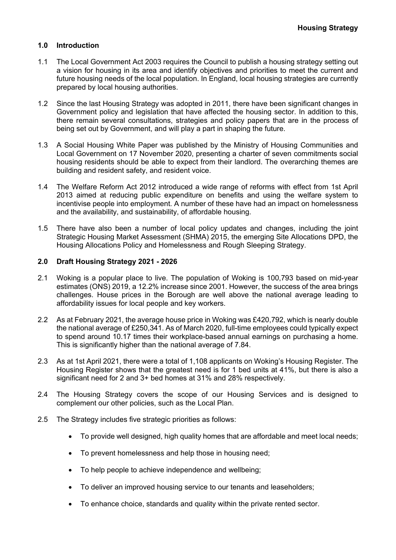# **1.0 Introduction**

- 1.1 The Local Government Act 2003 requires the Council to publish a housing strategy setting out a vision for housing in its area and identify objectives and priorities to meet the current and future housing needs of the local population. In England, local housing strategies are currently prepared by local housing authorities.
- 1.2 Since the last Housing Strategy was adopted in 2011, there have been significant changes in Government policy and legislation that have affected the housing sector. In addition to this, there remain several consultations, strategies and policy papers that are in the process of being set out by Government, and will play a part in shaping the future.
- 1.3 A Social Housing White Paper was published by the Ministry of Housing Communities and Local Government on 17 November 2020, presenting a charter of seven commitments social housing residents should be able to expect from their landlord. The overarching themes are building and resident safety, and resident voice.
- 1.4 The Welfare Reform Act 2012 introduced a wide range of reforms with effect from 1st April 2013 aimed at reducing public expenditure on benefits and using the welfare system to incentivise people into employment. A number of these have had an impact on homelessness and the availability, and sustainability, of affordable housing.
- 1.5 There have also been a number of local policy updates and changes, including the joint Strategic Housing Market Assessment (SHMA) 2015, the emerging Site Allocations DPD, the Housing Allocations Policy and Homelessness and Rough Sleeping Strategy.

## **2.0 Draft Housing Strategy 2021 - 2026**

- 2.1 Woking is a popular place to live. The population of Woking is 100,793 based on mid-year estimates (ONS) 2019, a 12.2% increase since 2001. However, the success of the area brings challenges. House prices in the Borough are well above the national average leading to affordability issues for local people and key workers.
- 2.2 As at February 2021, the average house price in Woking was £420,792, which is nearly double the national average of £250,341. As of March 2020, full-time employees could typically expect to spend around 10.17 times their workplace-based annual earnings on purchasing a home. This is significantly higher than the national average of 7.84.
- 2.3 As at 1st April 2021, there were a total of 1,108 applicants on Woking's Housing Register. The Housing Register shows that the greatest need is for 1 bed units at 41%, but there is also a significant need for 2 and 3+ bed homes at 31% and 28% respectively.
- 2.4 The Housing Strategy covers the scope of our Housing Services and is designed to complement our other policies, such as the Local Plan.
- 2.5 The Strategy includes five strategic priorities as follows:
	- To provide well designed, high quality homes that are affordable and meet local needs;
	- To prevent homelessness and help those in housing need;
	- To help people to achieve independence and wellbeing;
	- To deliver an improved housing service to our tenants and leaseholders;
	- To enhance choice, standards and quality within the private rented sector.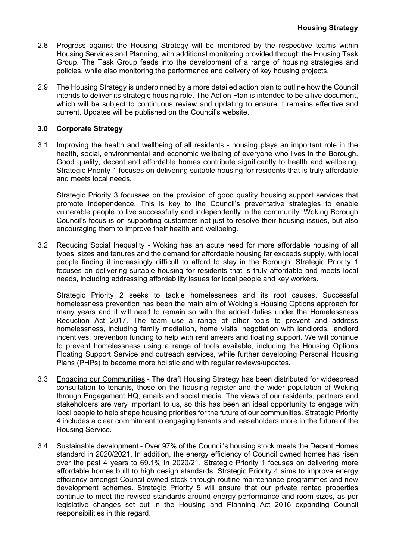- 2.8 Progress against the Housing Strategy will be monitored by the respective teams within Housing Services and Planning, with additional monitoring provided through the Housing Task Group. The Task Group feeds into the development of a range of housing strategies and policies, while also monitoring the performance and delivery of key housing projects.
- 2.9 The Housing Strategy is underpinned by a more detailed action plan to outline how the Council intends to deliver its strategic housing role. The Action Plan is intended to be a live document, which will be subject to continuous review and updating to ensure it remains effective and current. Updates will be published on the Council's website.

# **3.0 Corporate Strategy**

3.1 Improving the health and wellbeing of all residents - housing plays an important role in the health, social, environmental and economic wellbeing of everyone who lives in the Borough. Good quality, decent and affordable homes contribute significantly to health and wellbeing. Strategic Priority 1 focuses on delivering suitable housing for residents that is truly affordable and meets local needs.

Strategic Priority 3 focusses on the provision of good quality housing support services that promote independence. This is key to the Council's preventative strategies to enable vulnerable people to live successfully and independently in the community. Woking Borough Council's focus is on supporting customers not just to resolve their housing issues, but also encouraging them to improve their health and wellbeing.

3.2 Reducing Social Inequality - Woking has an acute need for more affordable housing of all types, sizes and tenures and the demand for affordable housing far exceeds supply, with local people finding it increasingly difficult to afford to stay in the Borough. Strategic Priority 1 focuses on delivering suitable housing for residents that is truly affordable and meets local needs, including addressing affordability issues for local people and key workers.

Strategic Priority 2 seeks to tackle homelessness and its root causes. Successful homelessness prevention has been the main aim of Woking's Housing Options approach for many years and it will need to remain so with the added duties under the Homelessness Reduction Act 2017. The team use a range of other tools to prevent and address homelessness, including family mediation, home visits, negotiation with landlords, landlord incentives, prevention funding to help with rent arrears and floating support. We will continue to prevent homelessness using a range of tools available, including the Housing Options Floating Support Service and outreach services, while further developing Personal Housing Plans (PHPs) to become more holistic and with regular reviews/updates.

- 3.3 Engaging our Communities The draft Housing Strategy has been distributed for widespread consultation to tenants, those on the housing register and the wider population of Woking through Engagement HQ, emails and social media. The views of our residents, partners and stakeholders are very important to us, so this has been an ideal opportunity to engage with local people to help shape housing priorities for the future of our communities. Strategic Priority 4 includes a clear commitment to engaging tenants and leaseholders more in the future of the Housing Service.
- 3.4 Sustainable development Over 97% of the Council's housing stock meets the Decent Homes standard in 2020/2021. In addition, the energy efficiency of Council owned homes has risen over the past 4 years to 69.1% in 2020/21. Strategic Priority 1 focuses on delivering more affordable homes built to high design standards. Strategic Priority 4 aims to improve energy efficiency amongst Council-owned stock through routine maintenance programmes and new development schemes. Strategic Priority 5 will ensure that our private rented properties continue to meet the revised standards around energy performance and room sizes, as per legislative changes set out in the Housing and Planning Act 2016 expanding Council responsibilities in this regard.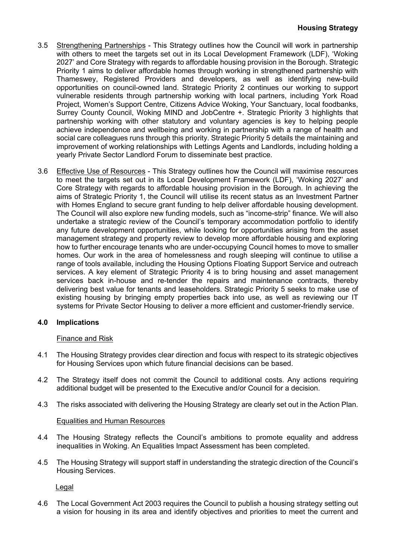- 3.5 Strengthening Partnerships This Strategy outlines how the Council will work in partnership with others to meet the targets set out in its Local Development Framework (LDF), 'Woking 2027' and Core Strategy with regards to affordable housing provision in the Borough. Strategic Priority 1 aims to deliver affordable homes through working in strengthened partnership with Thameswey, Registered Providers and developers, as well as identifying new-build opportunities on council-owned land. Strategic Priority 2 continues our working to support vulnerable residents through partnership working with local partners, including York Road Project, Women's Support Centre, Citizens Advice Woking, Your Sanctuary, local foodbanks, Surrey County Council, Woking MIND and JobCentre +. Strategic Priority 3 highlights that partnership working with other statutory and voluntary agencies is key to helping people achieve independence and wellbeing and working in partnership with a range of health and social care colleagues runs through this priority. Strategic Priority 5 details the maintaining and improvement of working relationships with Lettings Agents and Landlords, including holding a yearly Private Sector Landlord Forum to disseminate best practice.
- 3.6 Effective Use of Resources This Strategy outlines how the Council will maximise resources to meet the targets set out in its Local Development Framework (LDF), 'Woking 2027' and Core Strategy with regards to affordable housing provision in the Borough. In achieving the aims of Strategic Priority 1, the Council will utilise its recent status as an Investment Partner with Homes England to secure grant funding to help deliver affordable housing development. The Council will also explore new funding models, such as "income-strip" finance. We will also undertake a strategic review of the Council's temporary accommodation portfolio to identify any future development opportunities, while looking for opportunities arising from the asset management strategy and property review to develop more affordable housing and exploring how to further encourage tenants who are under-occupying Council homes to move to smaller homes. Our work in the area of homelessness and rough sleeping will continue to utilise a range of tools available, including the Housing Options Floating Support Service and outreach services. A key element of Strategic Priority 4 is to bring housing and asset management services back in-house and re-tender the repairs and maintenance contracts, thereby delivering best value for tenants and leaseholders. Strategic Priority 5 seeks to make use of existing housing by bringing empty properties back into use, as well as reviewing our IT systems for Private Sector Housing to deliver a more efficient and customer-friendly service.

# **4.0 Implications**

# Finance and Risk

- 4.1 The Housing Strategy provides clear direction and focus with respect to its strategic objectives for Housing Services upon which future financial decisions can be based.
- 4.2 The Strategy itself does not commit the Council to additional costs. Any actions requiring additional budget will be presented to the Executive and/or Council for a decision.
- 4.3 The risks associated with delivering the Housing Strategy are clearly set out in the Action Plan.

### Equalities and Human Resources

- 4.4 The Housing Strategy reflects the Council's ambitions to promote equality and address inequalities in Woking. An Equalities Impact Assessment has been completed.
- 4.5 The Housing Strategy will support staff in understanding the strategic direction of the Council's Housing Services.

Legal

4.6 The Local Government Act 2003 requires the Council to publish a housing strategy setting out a vision for housing in its area and identify objectives and priorities to meet the current and